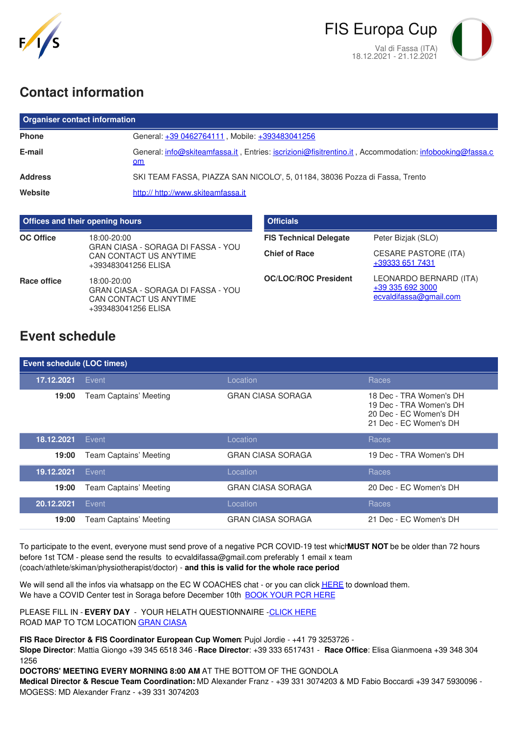



## **Contact information**

| <b>Organiser contact information</b> |                                                                                                              |  |  |  |
|--------------------------------------|--------------------------------------------------------------------------------------------------------------|--|--|--|
| <b>Phone</b>                         | General: +39 0462764111, Mobile: +393483041256                                                               |  |  |  |
| E-mail                               | General: info@skiteamfassa.it, Entries: iscrizioni@fisitrentino.it, Accommodation: infobooking@fassa.c<br>om |  |  |  |
| <b>Address</b>                       | SKI TEAM FASSA, PIAZZA SAN NICOLO', 5, 01184, 38036 Pozza di Fassa, Trento                                   |  |  |  |
| Website                              | http:// http://www.skiteamfassa.it                                                                           |  |  |  |

| <b>Offices and their opening hours</b> |                                                                                                    | <b>Officials</b>              |                                                                      |
|----------------------------------------|----------------------------------------------------------------------------------------------------|-------------------------------|----------------------------------------------------------------------|
| <b>OC Office</b>                       | 18:00-20:00                                                                                        | <b>FIS Technical Delegate</b> | Peter Bizjak (SLO)                                                   |
|                                        | GRAN CIASA - SORAGA DI FASSA - YOU<br>CAN CONTACT US ANYTIME<br>+393483041256 ELISA                | <b>Chief of Race</b>          | <b>CESARE PASTORE (ITA)</b><br>+39333 651 7431                       |
| Race office                            | 18:00-20:00<br>GRAN CIASA - SORAGA DI FASSA - YOU<br>CAN CONTACT US ANYTIME<br>+393483041256 ELISA | <b>OC/LOC/ROC President</b>   | LEONARDO BERNARD (ITA)<br>+39 335 692 3000<br>ecvaldifassa@gmail.com |

## **Event schedule**

| Event schedule (LOC times) |                        |                          |                                                                                                        |  |  |
|----------------------------|------------------------|--------------------------|--------------------------------------------------------------------------------------------------------|--|--|
| 17.12.2021                 | Event                  | Location                 | <b>Races</b>                                                                                           |  |  |
| 19:00                      | Team Captains' Meeting | <b>GRAN CIASA SORAGA</b> | 18 Dec - TRA Women's DH<br>19 Dec - TRA Women's DH<br>20 Dec - EC Women's DH<br>21 Dec - EC Women's DH |  |  |
| 18.12.2021                 | Event                  | Location                 | Races                                                                                                  |  |  |
| 19:00                      | Team Captains' Meeting | <b>GRAN CIASA SORAGA</b> | 19 Dec - TRA Women's DH                                                                                |  |  |
| 19.12.2021                 | Event                  | Location                 | Races                                                                                                  |  |  |
| 19:00                      | Team Captains' Meeting | <b>GRAN CIASA SORAGA</b> | 20 Dec - EC Women's DH                                                                                 |  |  |
| 20.12.2021                 | Event                  | Location                 | Races                                                                                                  |  |  |
| 19:00                      | Team Captains' Meeting | <b>GRAN CIASA SORAGA</b> | 21 Dec - EC Women's DH                                                                                 |  |  |

To participate to the event, everyone must send prove of a negative PCR COVID-19 test which**MUST NOT** be be older than 72 hours before 1st TCM - please send the results to ecvaldifassa@gmail.com preferably 1 email x team (coach/athlete/skiman/physiotherapist/doctor) - **and this is valid for the whole race period**

We will send all the infos via whatsapp on the EC W COACHES chat - or you can click [HERE](https://documentcloud.adobe.com/link/track?uri=urn:aaid:scds:US:d0d2c308-a491-4e34-bba8-f0fbf654ebdf) to download them. We have a COVID Center test in Soraga before December 10th [BOOK](https://docs.google.com/forms/d/1xk_BpBoohH5cPYRaETSNV60OGfdCua6QgbTLXC9F9pg/edit) YOUR PCR HERE

PLEASE FILL IN - **EVERY DAY** - YOUR HELATH QUESTIONNAIRE -[CLICK](https://docs.google.com/forms/d/14aiNMQ4u5ZxLzWxAKzCRCHY8UBxziKlyk8e-TbVRo5c/edit) HERE ROAD MAP TO TCM LOCATION GRAN [CIASA](https://www.google.it/maps/@46.3938132,11.6662825,3a,75y,277.57h,86.41t/data=!3m6!1e1!3m4!1sYJ_uwGcvdB37KTMGsTlXTg!2e0!7i13312!8i6656)

**FIS Race Director & FIS Coordinator European Cup Women**: Pujol Jordie - +41 79 3253726 -

**Slope Director**: Mattia Giongo +39 345 6518 346 -**Race Director**: +39 333 6517431 - **Race Office**: Elisa Gianmoena +39 348 304 1256

**DOCTORS' MEETING EVERY MORNING 8:00 AM** AT THE BOTTOM OF THE GONDOLA

**Medical Director & Rescue Team Coordination:** MD Alexander Franz - +39 331 3074203 & MD Fabio Boccardi +39 347 5930096 - MOGESS: MD Alexander Franz - +39 331 3074203